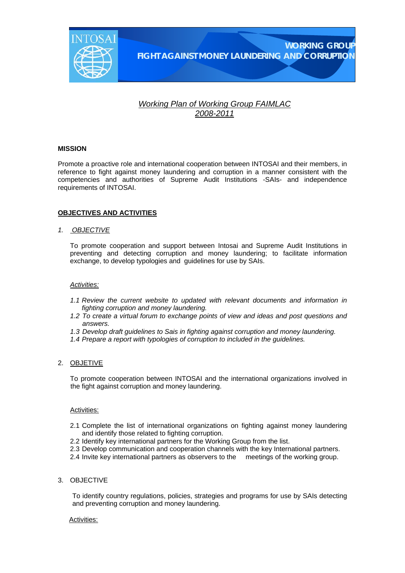

# *Working Plan of Working Group FAIMLAC 2008-2011*

# **MISSION**

Promote a proactive role and international cooperation between INTOSAI and their members, in reference to fight against money laundering and corruption in a manner consistent with the competencies and authorities of Supreme Audit Institutions -SAIs- and independence requirements of INTOSAI.

# **OBJECTIVES AND ACTIVITIES**

*1. OBJECTIVE*

To promote cooperation and support between Intosai and Supreme Audit Institutions in preventing and detecting corruption and money laundering; to facilitate information exchange, to develop typologies and guidelines for use by SAIs.

### *Activities:*

- 1.1 Review the current website to updated with relevant documents and information in *fighting corruption and money laundering.*
- *1.2 To create a virtual forum to exchange points of view and ideas and post questions and answers.*
- *1.3 Develop draft guidelines to Sais in fighting against corruption and money laundering.*
- *1.4 Prepare a report with typologies of corruption to included in the guidelines.*

### 2. OBJETIVE

To promote cooperation between INTOSAI and the international organizations involved in the fight against corruption and money laundering.

#### Activities:

- 2.1 Complete the list of international organizations on fighting against money laundering and identify those related to fighting corruption.
- 2.2 Identify key international partners for the Working Group from the list.
- 2.3 Develop communication and cooperation channels with the key International partners.
- 2.4 Invite key international partners as observers to the meetings of the working group.

### 3. OBJECTIVE

To identify country regulations, policies, strategies and programs for use by SAIs detecting and preventing corruption and money laundering.

#### Activities: